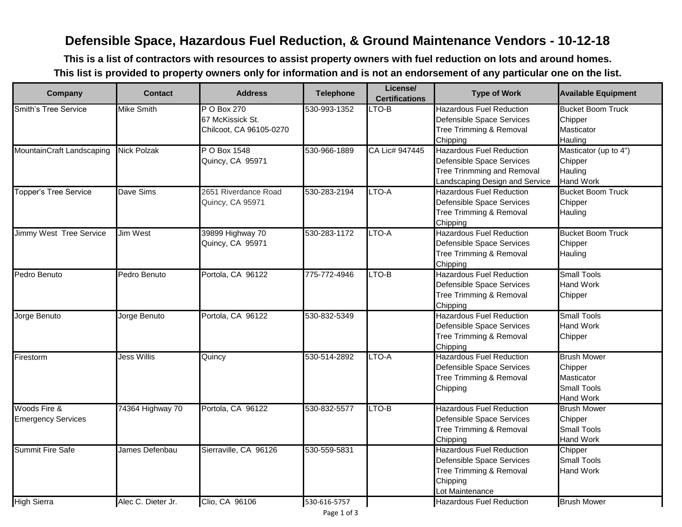## **Defensible Space, Hazardous Fuel Reduction, & Ground Maintenance Vendors - 10-12-18**

**This is a list of contractors with resources to assist property owners with fuel reduction on lots and around homes. This list is provided to property owners only for information and is not an endorsement of any particular one on the list.**

| Company                      | <b>Contact</b>     | <b>Address</b>          | <b>Telephone</b> | License/<br><b>Certifications</b> | <b>Type of Work</b>             | <b>Available Equipment</b> |
|------------------------------|--------------------|-------------------------|------------------|-----------------------------------|---------------------------------|----------------------------|
| <b>Smith's Tree Service</b>  | <b>Mike Smith</b>  | P O Box 270             | 530-993-1352     | $LTO-B$                           | <b>Hazardous Fuel Reduction</b> | <b>Bucket Boom Truck</b>   |
|                              |                    | 67 McKissick St.        |                  |                                   | Defensible Space Services       | Chipper                    |
|                              |                    | Chilcoot, CA 96105-0270 |                  |                                   | Tree Trimming & Removal         | Masticator                 |
|                              |                    |                         |                  |                                   | Chipping                        | Hauling                    |
| MountainCraft Landscaping    | <b>Nick Polzak</b> | P O Box 1548            | 530-966-1889     | CA Lic# 947445                    | <b>Hazardous Fuel Reduction</b> | Masticator (up to 4")      |
|                              |                    | Quincy, CA 95971        |                  |                                   | Defensible Space Services       | Chipper                    |
|                              |                    |                         |                  |                                   | Tree Trinmming and Removal      | Hauling                    |
|                              |                    |                         |                  |                                   | Landscaping Design and Service  | <b>Hand Work</b>           |
| <b>Topper's Tree Service</b> | Dave Sims          | 2651 Riverdance Road    | 530-283-2194     | LTO-A                             | <b>Hazardous Fuel Reduction</b> | <b>Bucket Boom Truck</b>   |
|                              |                    | Quincy, CA 95971        |                  |                                   | Defensible Space Services       | Chipper                    |
|                              |                    |                         |                  |                                   | Tree Trimming & Removal         | Hauling                    |
|                              |                    |                         |                  |                                   | Chipping                        |                            |
| Jimmy West Tree Service      | <b>Jim West</b>    | 39899 Highway 70        | 530-283-1172     | LTO-A                             | <b>Hazardous Fuel Reduction</b> | <b>Bucket Boom Truck</b>   |
|                              |                    | Quincy, CA 95971        |                  |                                   | Defensible Space Services       | Chipper                    |
|                              |                    |                         |                  |                                   | Tree Trimming & Removal         | Hauling                    |
|                              |                    |                         |                  |                                   | Chipping                        |                            |
| Pedro Benuto                 | Pedro Benuto       | Portola, CA 96122       | 775-772-4946     | LTO-B                             | <b>Hazardous Fuel Reduction</b> | <b>Small Tools</b>         |
|                              |                    |                         |                  |                                   | Defensible Space Services       | <b>Hand Work</b>           |
|                              |                    |                         |                  |                                   | Tree Trimming & Removal         | Chipper                    |
|                              |                    |                         |                  |                                   | Chipping                        |                            |
| Jorge Benuto                 | Jorge Benuto       | Portola, CA 96122       | 530-832-5349     |                                   | <b>Hazardous Fuel Reduction</b> | <b>Small Tools</b>         |
|                              |                    |                         |                  |                                   | Defensible Space Services       | <b>Hand Work</b>           |
|                              |                    |                         |                  |                                   | Tree Trimming & Removal         | Chipper                    |
|                              |                    |                         |                  |                                   | Chipping                        |                            |
| Firestorm                    | <b>Jess Willis</b> | Quincy                  | 530-514-2892     | LTO-A                             | <b>Hazardous Fuel Reduction</b> | <b>Brush Mower</b>         |
|                              |                    |                         |                  |                                   | Defensible Space Services       | Chipper                    |
|                              |                    |                         |                  |                                   | Tree Trimming & Removal         | Masticator                 |
|                              |                    |                         |                  |                                   | Chipping                        | <b>Small Tools</b>         |
|                              |                    |                         |                  |                                   |                                 | <b>Hand Work</b>           |
| Woods Fire &                 | 74364 Highway 70   | Portola, CA 96122       | 530-832-5577     | LTO-B                             | <b>Hazardous Fuel Reduction</b> | <b>Brush Mower</b>         |
| <b>Emergency Services</b>    |                    |                         |                  |                                   | Defensible Space Services       | Chipper                    |
|                              |                    |                         |                  |                                   | Tree Trimming & Removal         | <b>Small Tools</b>         |
|                              |                    |                         |                  |                                   | Chipping                        | <b>Hand Work</b>           |
| <b>Summit Fire Safe</b>      | James Defenbau     | Sierraville, CA 96126   | 530-559-5831     |                                   | <b>Hazardous Fuel Reduction</b> | Chipper                    |
|                              |                    |                         |                  |                                   | Defensible Space Services       | <b>Small Tools</b>         |
|                              |                    |                         |                  |                                   | Tree Trimming & Removal         | <b>Hand Work</b>           |
|                              |                    |                         |                  |                                   | Chipping                        |                            |
|                              |                    |                         |                  |                                   | Lot Maintenance                 |                            |
| <b>High Sierra</b>           | Alec C. Dieter Jr. | Clio. CA 96106          | 530-616-5757     |                                   | <b>Hazardous Fuel Reduction</b> | <b>Brush Mower</b>         |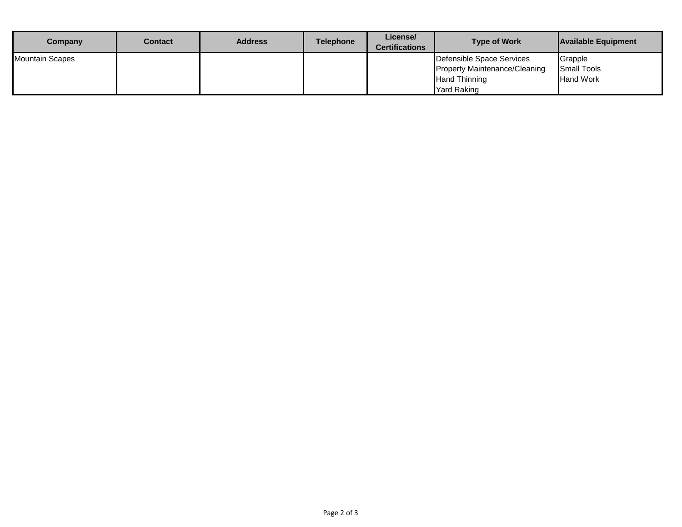| Company                | Contact | <b>Address</b> | <b>Telephone</b> | License/<br><b>Certifications</b> | <b>Type of Work</b>                  | <b>Available Equipment</b> |
|------------------------|---------|----------------|------------------|-----------------------------------|--------------------------------------|----------------------------|
| <b>Mountain Scapes</b> |         |                |                  |                                   | Defensible Space Services            | Grapple                    |
|                        |         |                |                  |                                   | <b>Property Maintenance/Cleaning</b> | <b>Small Tools</b>         |
|                        |         |                |                  |                                   | <b>Hand Thinning</b>                 | <b>Hand Work</b>           |
|                        |         |                |                  |                                   | <b>Yard Raking</b>                   |                            |